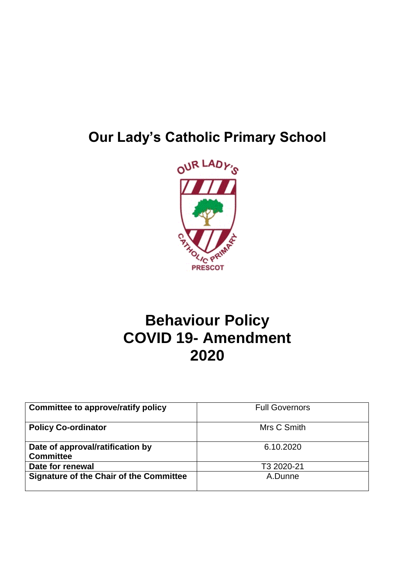# **Our Lady's Catholic Primary School**



# **Behaviour Policy COVID 19- Amendment 2020**

| Committee to approve/ratify policy                   | <b>Full Governors</b> |
|------------------------------------------------------|-----------------------|
| <b>Policy Co-ordinator</b>                           | Mrs C Smith           |
| Date of approval/ratification by<br><b>Committee</b> | 6.10.2020             |
| Date for renewal                                     | T3 2020-21            |
| <b>Signature of the Chair of the Committee</b>       | A.Dunne               |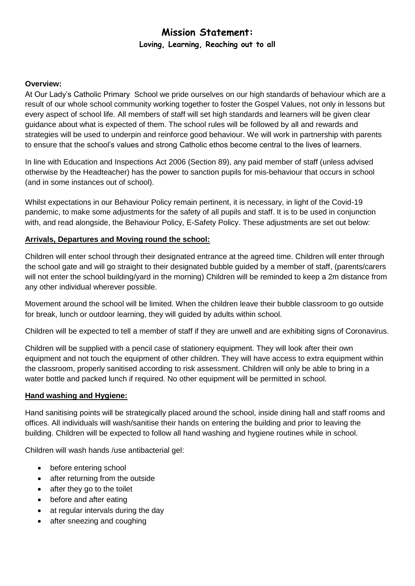# **Mission Statement: Loving, Learning, Reaching out to all**

#### **Overview:**

At Our Lady's Catholic Primary School we pride ourselves on our high standards of behaviour which are a result of our whole school community working together to foster the Gospel Values, not only in lessons but every aspect of school life. All members of staff will set high standards and learners will be given clear guidance about what is expected of them. The school rules will be followed by all and rewards and strategies will be used to underpin and reinforce good behaviour. We will work in partnership with parents to ensure that the school's values and strong Catholic ethos become central to the lives of learners.

In line with Education and Inspections Act 2006 (Section 89), any paid member of staff (unless advised otherwise by the Headteacher) has the power to sanction pupils for mis-behaviour that occurs in school (and in some instances out of school).

Whilst expectations in our Behaviour Policy remain pertinent, it is necessary, in light of the Covid-19 pandemic, to make some adjustments for the safety of all pupils and staff. It is to be used in conjunction with, and read alongside, the Behaviour Policy, E-Safety Policy. These adjustments are set out below:

#### **Arrivals, Departures and Moving round the school:**

Children will enter school through their designated entrance at the agreed time. Children will enter through the school gate and will go straight to their designated bubble guided by a member of staff, (parents/carers will not enter the school building/yard in the morning) Children will be reminded to keep a 2m distance from any other individual wherever possible.

Movement around the school will be limited. When the children leave their bubble classroom to go outside for break, lunch or outdoor learning, they will guided by adults within school.

Children will be expected to tell a member of staff if they are unwell and are exhibiting signs of Coronavirus.

Children will be supplied with a pencil case of stationery equipment. They will look after their own equipment and not touch the equipment of other children. They will have access to extra equipment within the classroom, properly sanitised according to risk assessment. Children will only be able to bring in a water bottle and packed lunch if required. No other equipment will be permitted in school.

#### **Hand washing and Hygiene:**

Hand sanitising points will be strategically placed around the school, inside dining hall and staff rooms and offices. All individuals will wash/sanitise their hands on entering the building and prior to leaving the building. Children will be expected to follow all hand washing and hygiene routines while in school.

Children will wash hands /use antibacterial gel:

- before entering school
- after returning from the outside
- after they go to the toilet
- before and after eating
- at regular intervals during the day
- after sneezing and coughing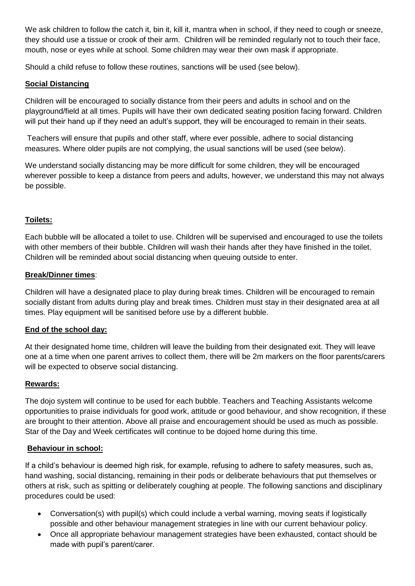We ask children to follow the catch it, bin it, kill it, mantra when in school, if they need to cough or sneeze, they should use a tissue or crook of their arm. Children will be reminded regularly not to touch their face, mouth, nose or eyes while at school. Some children may wear their own mask if appropriate.

Should a child refuse to follow these routines, sanctions will be used (see below).

# **Social Distancing**

Children will be encouraged to socially distance from their peers and adults in school and on the playground/field at all times. Pupils will have their own dedicated seating position facing forward. Children will put their hand up if they need an adult's support, they will be encouraged to remain in their seats.

Teachers will ensure that pupils and other staff, where ever possible, adhere to social distancing measures. Where older pupils are not complying, the usual sanctions will be used (see below).

We understand socially distancing may be more difficult for some children, they will be encouraged wherever possible to keep a distance from peers and adults, however, we understand this may not always be possible.

#### **Toilets:**

Each bubble will be allocated a toilet to use. Children will be supervised and encouraged to use the toilets with other members of their bubble. Children will wash their hands after they have finished in the toilet. Children will be reminded about social distancing when queuing outside to enter.

#### **Break/Dinner times**:

Children will have a designated place to play during break times. Children will be encouraged to remain socially distant from adults during play and break times. Children must stay in their designated area at all times. Play equipment will be sanitised before use by a different bubble.

# **End of the school day:**

At their designated home time, children will leave the building from their designated exit. They will leave one at a time when one parent arrives to collect them, there will be 2m markers on the floor parents/carers will be expected to observe social distancing.

# **Rewards:**

The dojo system will continue to be used for each bubble. Teachers and Teaching Assistants welcome opportunities to praise individuals for good work, attitude or good behaviour, and show recognition, if these are brought to their attention. Above all praise and encouragement should be used as much as possible. Star of the Day and Week certificates will continue to be dojoed home during this time.

#### **Behaviour in school:**

If a child's behaviour is deemed high risk, for example, refusing to adhere to safety measures, such as, hand washing, social distancing, remaining in their pods or deliberate behaviours that put themselves or others at risk, such as spitting or deliberately coughing at people. The following sanctions and disciplinary procedures could be used:

- Conversation(s) with pupil(s) which could include a verbal warning, moving seats if logistically possible and other behaviour management strategies in line with our current behaviour policy.
- Once all appropriate behaviour management strategies have been exhausted, contact should be made with pupil's parent/carer.